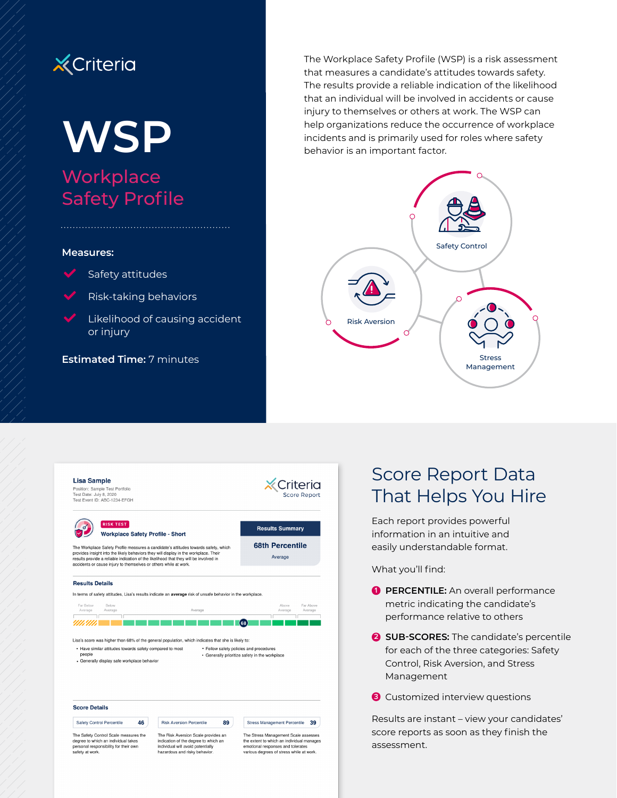# **X** Criteria

# **WSP Workplace** Safety Profile

#### **Measures:**



- Safety attitudes
- Risk-taking behaviors

Likelihood of causing accident or injury

The Workplace Safety Profile (WSP) is a risk assessment that measures a candidate's attitudes towards safety. The results provide a reliable indication of the likelihood that an individual will be involved in accidents or cause injury to themselves or others at work. The WSP can help organizations reduce the occurrence of workplace incidents and is primarily used for roles where safety behavior is an important factor.





# Score Report Data That Helps You Hire

Each report provides powerful information in an intuitive and easily understandable format.

What you'll find:

- **1 PERCENTILE:** An overall performance metric indicating the candidate's performance relative to others
- **2 SUB-SCORES:** The candidate's percentile for each of the three categories: Safety Control, Risk Aversion, and Stress Management
- **3** Customized interview questions

Results are instant – view your candidates' score reports as soon as they finish the assessment.